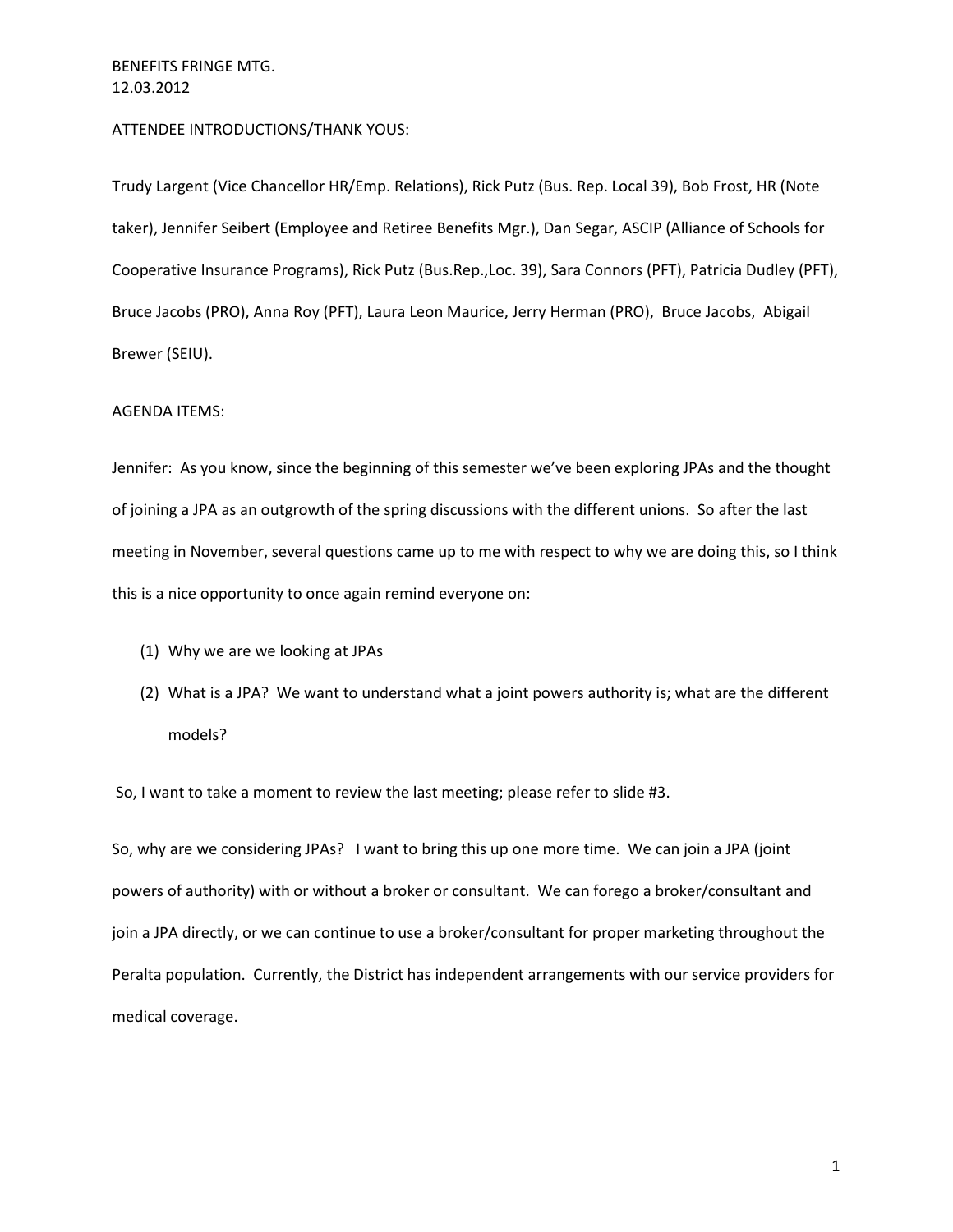# ATTENDEE INTRODUCTIONS/THANK YOUS:

Trudy Largent (Vice Chancellor HR/Emp. Relations), Rick Putz (Bus. Rep. Local 39), Bob Frost, HR (Note taker), Jennifer Seibert (Employee and Retiree Benefits Mgr.), Dan Segar, ASCIP (Alliance of Schools for Cooperative Insurance Programs), Rick Putz (Bus.Rep.,Loc. 39), Sara Connors (PFT), Patricia Dudley (PFT), Bruce Jacobs (PRO), Anna Roy (PFT), Laura Leon Maurice, Jerry Herman (PRO), Bruce Jacobs, Abigail Brewer (SEIU).

#### AGENDA ITEMS:

Jennifer: As you know, since the beginning of this semester we've been exploring JPAs and the thought of joining a JPA as an outgrowth of the spring discussions with the different unions. So after the last meeting in November, several questions came up to me with respect to why we are doing this, so I think this is a nice opportunity to once again remind everyone on:

- (1) Why we are we looking at JPAs
- (2) What is a JPA? We want to understand what a joint powers authority is; what are the different models?

So, I want to take a moment to review the last meeting; please refer to slide #3.

So, why are we considering JPAs? I want to bring this up one more time. We can join a JPA (joint powers of authority) with or without a broker or consultant. We can forego a broker/consultant and join a JPA directly, or we can continue to use a broker/consultant for proper marketing throughout the Peralta population. Currently, the District has independent arrangements with our service providers for medical coverage.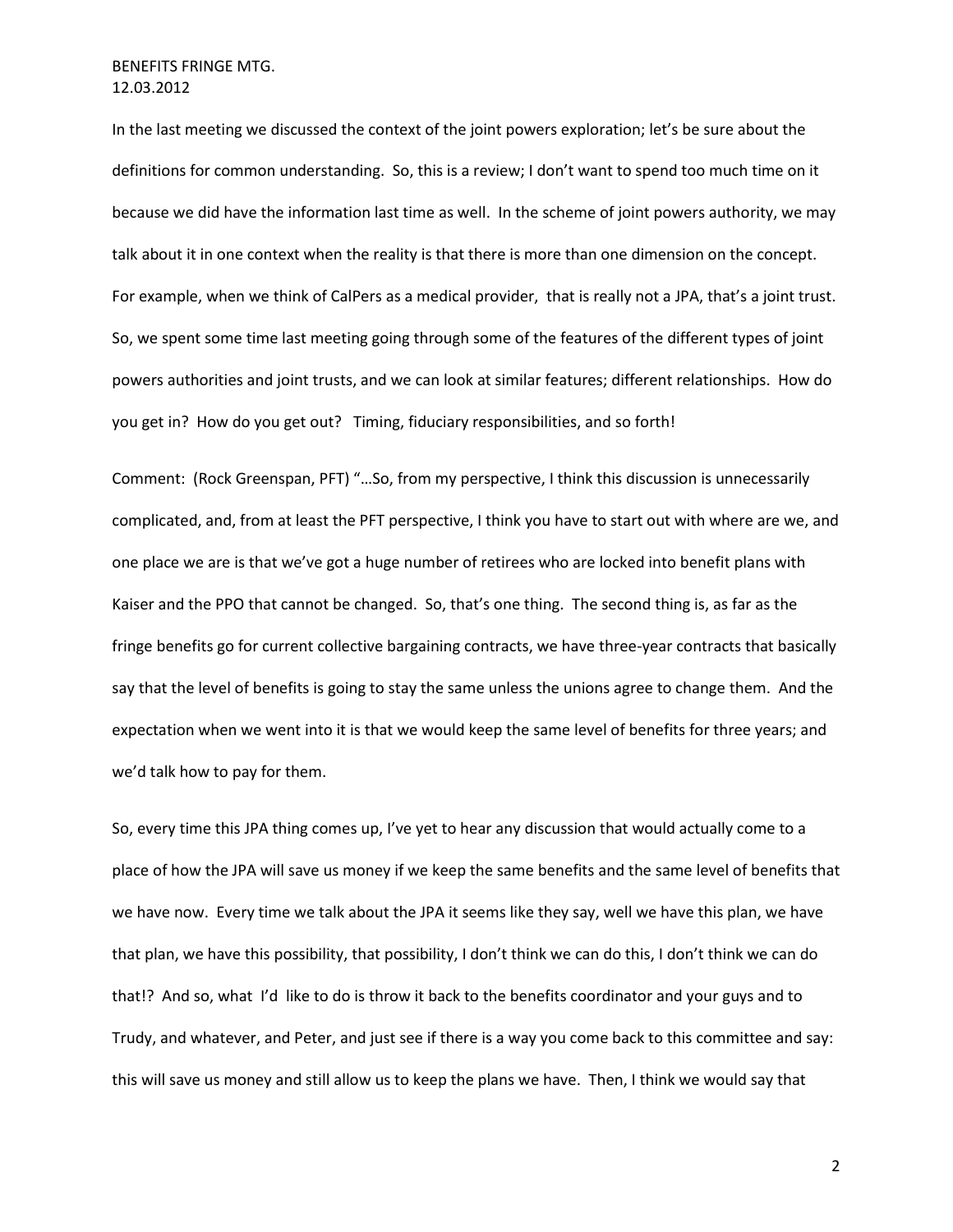In the last meeting we discussed the context of the joint powers exploration; let's be sure about the definitions for common understanding. So, this is a review; I don't want to spend too much time on it because we did have the information last time as well. In the scheme of joint powers authority, we may talk about it in one context when the reality is that there is more than one dimension on the concept. For example, when we think of CalPers as a medical provider, that is really not a JPA, that's a joint trust. So, we spent some time last meeting going through some of the features of the different types of joint powers authorities and joint trusts, and we can look at similar features; different relationships. How do you get in? How do you get out? Timing, fiduciary responsibilities, and so forth!

Comment: (Rock Greenspan, PFT) "…So, from my perspective, I think this discussion is unnecessarily complicated, and, from at least the PFT perspective, I think you have to start out with where are we, and one place we are is that we've got a huge number of retirees who are locked into benefit plans with Kaiser and the PPO that cannot be changed. So, that's one thing. The second thing is, as far as the fringe benefits go for current collective bargaining contracts, we have three-year contracts that basically say that the level of benefits is going to stay the same unless the unions agree to change them. And the expectation when we went into it is that we would keep the same level of benefits for three years; and we'd talk how to pay for them.

So, every time this JPA thing comes up, I've yet to hear any discussion that would actually come to a place of how the JPA will save us money if we keep the same benefits and the same level of benefits that we have now. Every time we talk about the JPA it seems like they say, well we have this plan, we have that plan, we have this possibility, that possibility, I don't think we can do this, I don't think we can do that!? And so, what I'd like to do is throw it back to the benefits coordinator and your guys and to Trudy, and whatever, and Peter, and just see if there is a way you come back to this committee and say: this will save us money and still allow us to keep the plans we have. Then, I think we would say that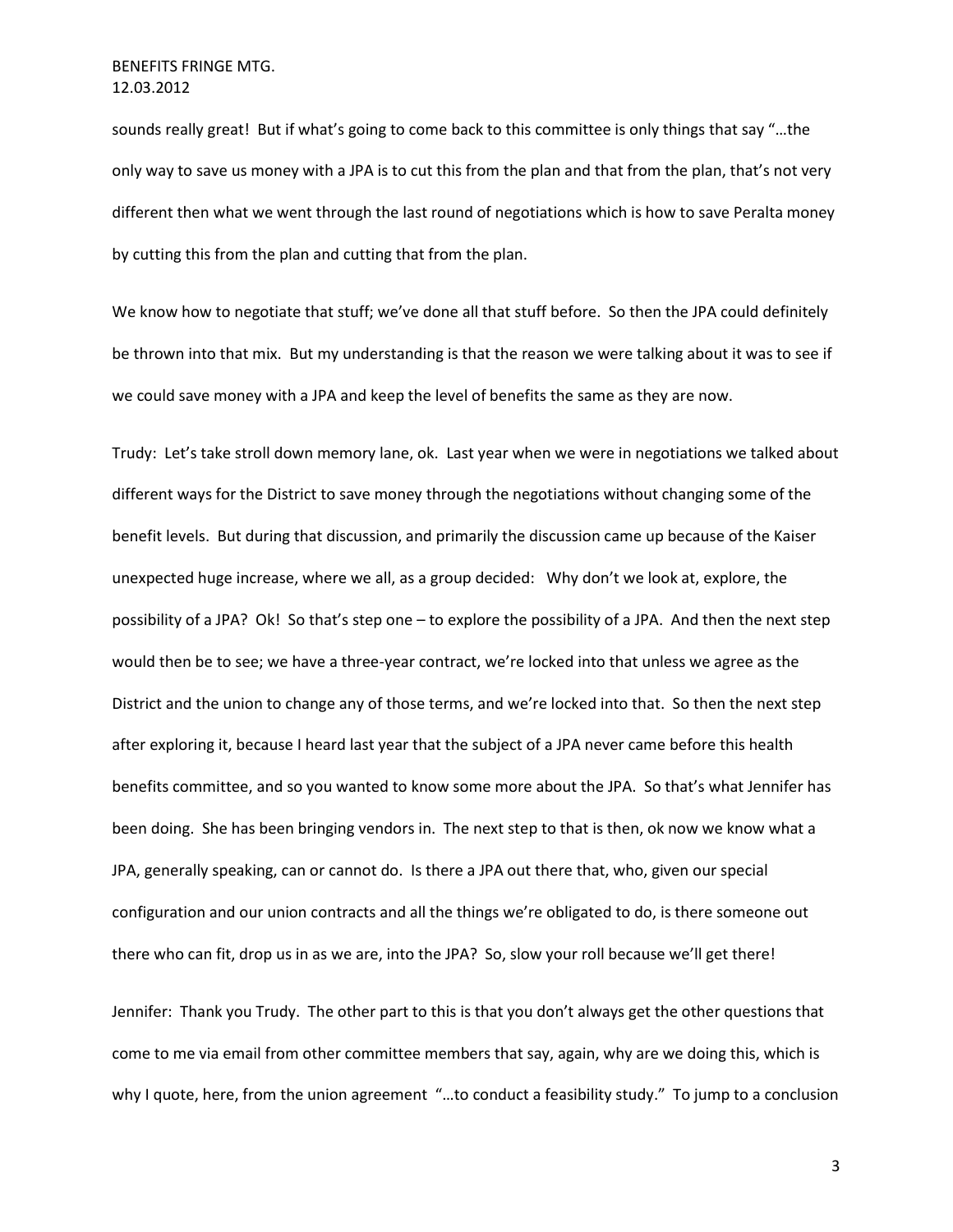sounds really great! But if what's going to come back to this committee is only things that say "…the only way to save us money with a JPA is to cut this from the plan and that from the plan, that's not very different then what we went through the last round of negotiations which is how to save Peralta money by cutting this from the plan and cutting that from the plan.

We know how to negotiate that stuff; we've done all that stuff before. So then the JPA could definitely be thrown into that mix. But my understanding is that the reason we were talking about it was to see if we could save money with a JPA and keep the level of benefits the same as they are now.

Trudy: Let's take stroll down memory lane, ok. Last year when we were in negotiations we talked about different ways for the District to save money through the negotiations without changing some of the benefit levels. But during that discussion, and primarily the discussion came up because of the Kaiser unexpected huge increase, where we all, as a group decided: Why don't we look at, explore, the possibility of a JPA? Ok! So that's step one – to explore the possibility of a JPA. And then the next step would then be to see; we have a three-year contract, we're locked into that unless we agree as the District and the union to change any of those terms, and we're locked into that. So then the next step after exploring it, because I heard last year that the subject of a JPA never came before this health benefits committee, and so you wanted to know some more about the JPA. So that's what Jennifer has been doing. She has been bringing vendors in. The next step to that is then, ok now we know what a JPA, generally speaking, can or cannot do. Is there a JPA out there that, who, given our special configuration and our union contracts and all the things we're obligated to do, is there someone out there who can fit, drop us in as we are, into the JPA? So, slow your roll because we'll get there!

Jennifer: Thank you Trudy. The other part to this is that you don't always get the other questions that come to me via email from other committee members that say, again, why are we doing this, which is why I quote, here, from the union agreement "...to conduct a feasibility study." To jump to a conclusion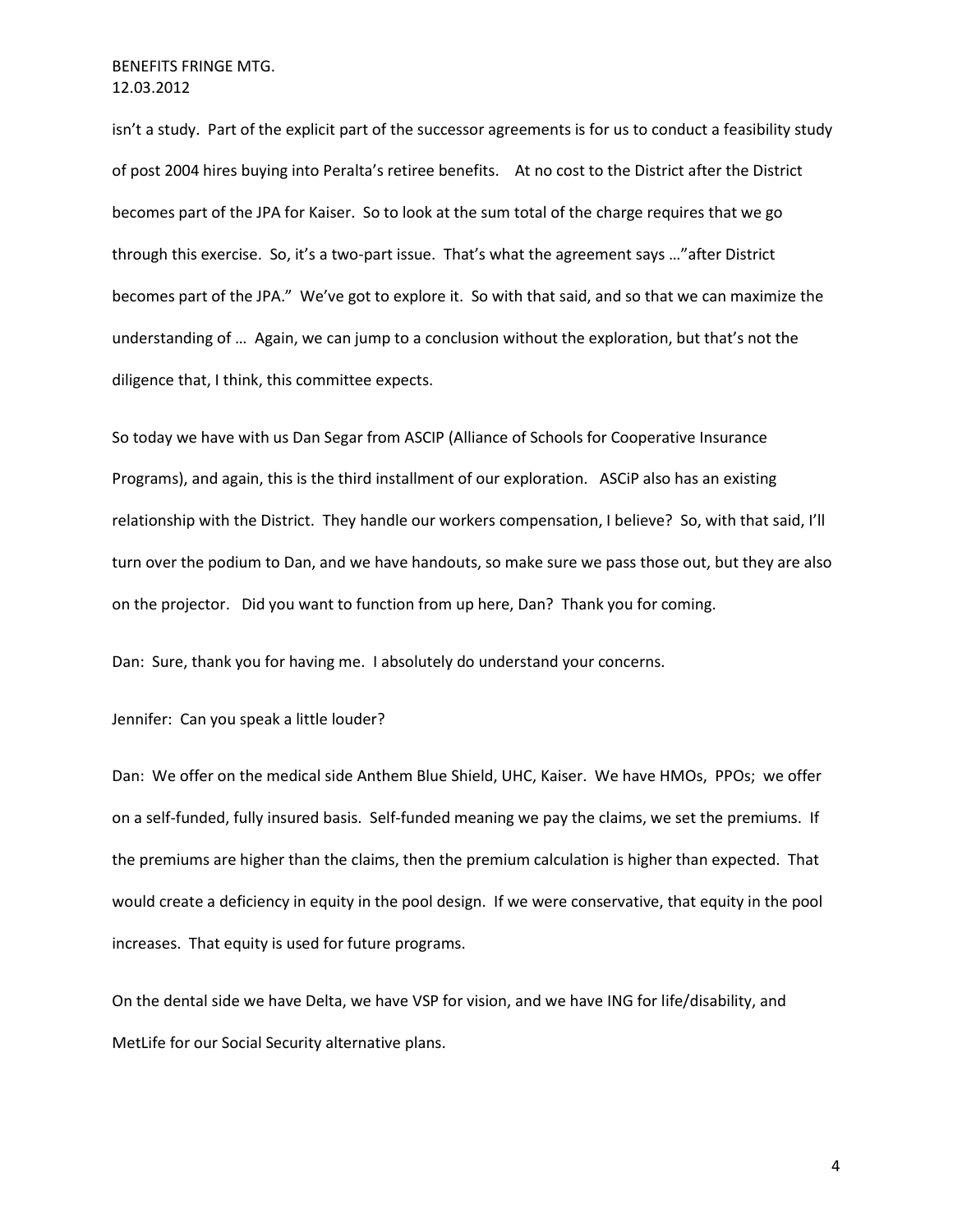isn't a study. Part of the explicit part of the successor agreements is for us to conduct a feasibility study of post 2004 hires buying into Peralta's retiree benefits. At no cost to the District after the District becomes part of the JPA for Kaiser. So to look at the sum total of the charge requires that we go through this exercise. So, it's a two-part issue. That's what the agreement says …"after District becomes part of the JPA." We've got to explore it. So with that said, and so that we can maximize the understanding of … Again, we can jump to a conclusion without the exploration, but that's not the diligence that, I think, this committee expects.

So today we have with us Dan Segar from ASCIP (Alliance of Schools for Cooperative Insurance Programs), and again, this is the third installment of our exploration. ASCiP also has an existing relationship with the District. They handle our workers compensation, I believe? So, with that said, I'll turn over the podium to Dan, and we have handouts, so make sure we pass those out, but they are also on the projector. Did you want to function from up here, Dan? Thank you for coming.

Dan: Sure, thank you for having me. I absolutely do understand your concerns.

Jennifer: Can you speak a little louder?

Dan: We offer on the medical side Anthem Blue Shield, UHC, Kaiser. We have HMOs, PPOs; we offer on a self-funded, fully insured basis. Self-funded meaning we pay the claims, we set the premiums. If the premiums are higher than the claims, then the premium calculation is higher than expected. That would create a deficiency in equity in the pool design. If we were conservative, that equity in the pool increases. That equity is used for future programs.

On the dental side we have Delta, we have VSP for vision, and we have ING for life/disability, and MetLife for our Social Security alternative plans.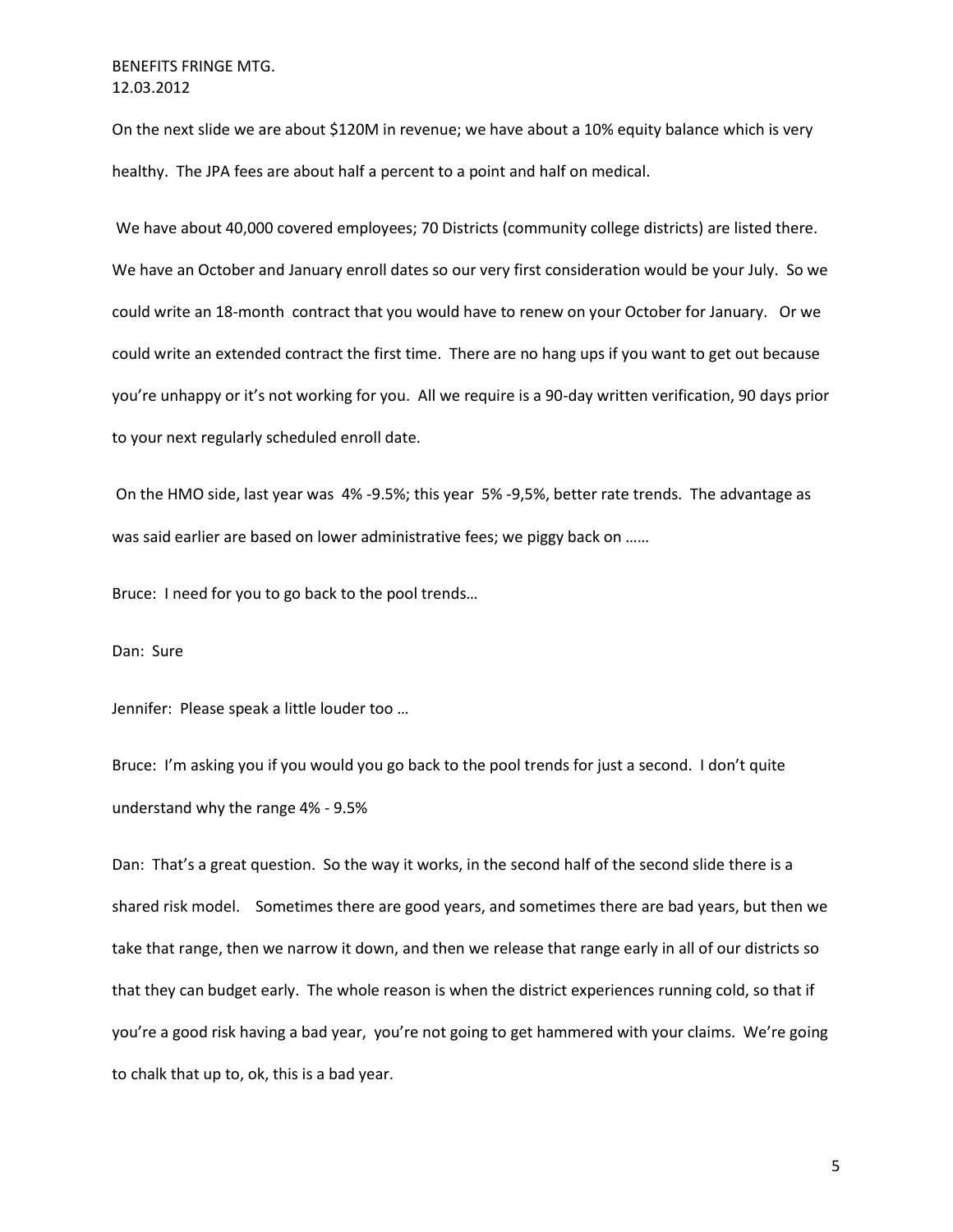On the next slide we are about \$120M in revenue; we have about a 10% equity balance which is very healthy. The JPA fees are about half a percent to a point and half on medical.

We have about 40,000 covered employees; 70 Districts (community college districts) are listed there. We have an October and January enroll dates so our very first consideration would be your July. So we could write an 18-month contract that you would have to renew on your October for January. Or we could write an extended contract the first time. There are no hang ups if you want to get out because you're unhappy or it's not working for you. All we require is a 90-day written verification, 90 days prior to your next regularly scheduled enroll date.

On the HMO side, last year was 4% -9.5%; this year 5% -9,5%, better rate trends. The advantage as was said earlier are based on lower administrative fees; we piggy back on ......

Bruce: I need for you to go back to the pool trends…

Dan: Sure

Jennifer: Please speak a little louder too …

Bruce: I'm asking you if you would you go back to the pool trends for just a second. I don't quite understand why the range 4% - 9.5%

Dan: That's a great question. So the way it works, in the second half of the second slide there is a shared risk model. Sometimes there are good years, and sometimes there are bad years, but then we take that range, then we narrow it down, and then we release that range early in all of our districts so that they can budget early. The whole reason is when the district experiences running cold, so that if you're a good risk having a bad year, you're not going to get hammered with your claims. We're going to chalk that up to, ok, this is a bad year.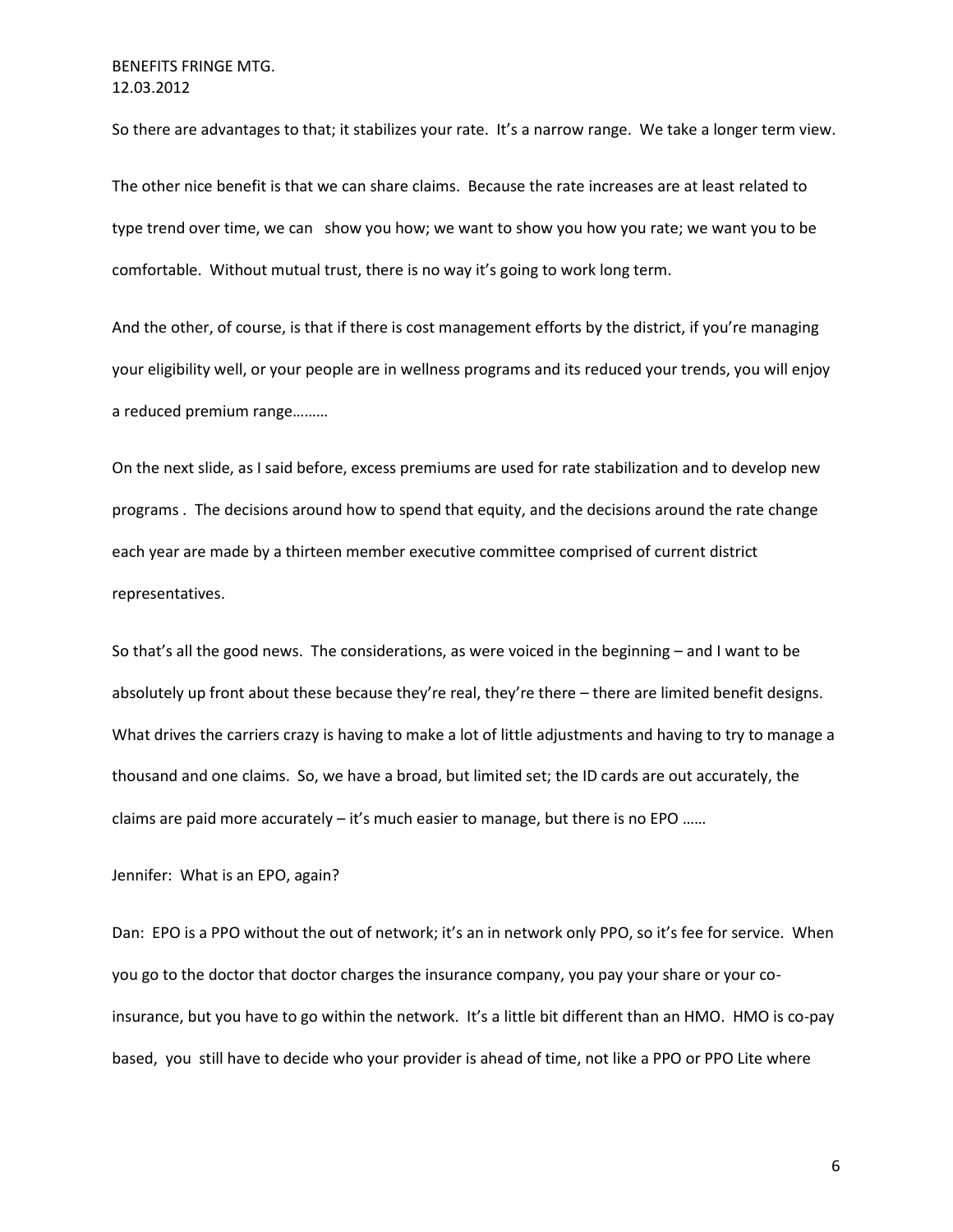So there are advantages to that; it stabilizes your rate. It's a narrow range. We take a longer term view.

The other nice benefit is that we can share claims. Because the rate increases are at least related to type trend over time, we can show you how; we want to show you how you rate; we want you to be comfortable. Without mutual trust, there is no way it's going to work long term.

And the other, of course, is that if there is cost management efforts by the district, if you're managing your eligibility well, or your people are in wellness programs and its reduced your trends, you will enjoy a reduced premium range………

On the next slide, as I said before, excess premiums are used for rate stabilization and to develop new programs . The decisions around how to spend that equity, and the decisions around the rate change each year are made by a thirteen member executive committee comprised of current district representatives.

So that's all the good news. The considerations, as were voiced in the beginning – and I want to be absolutely up front about these because they're real, they're there – there are limited benefit designs. What drives the carriers crazy is having to make a lot of little adjustments and having to try to manage a thousand and one claims. So, we have a broad, but limited set; the ID cards are out accurately, the claims are paid more accurately – it's much easier to manage, but there is no EPO ……

Jennifer: What is an EPO, again?

Dan: EPO is a PPO without the out of network; it's an in network only PPO, so it's fee for service. When you go to the doctor that doctor charges the insurance company, you pay your share or your coinsurance, but you have to go within the network. It's a little bit different than an HMO. HMO is co-pay based, you still have to decide who your provider is ahead of time, not like a PPO or PPO Lite where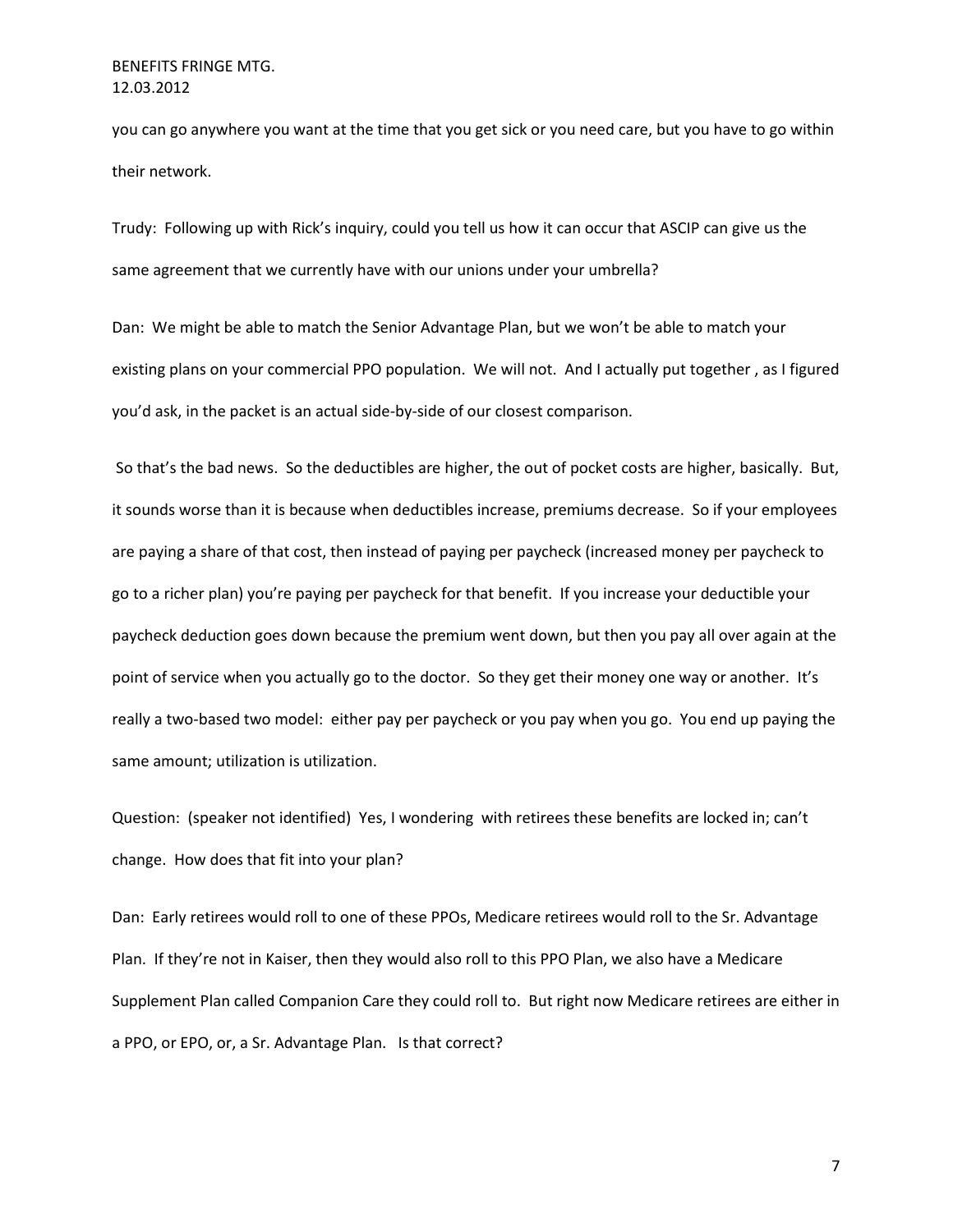you can go anywhere you want at the time that you get sick or you need care, but you have to go within their network.

Trudy: Following up with Rick's inquiry, could you tell us how it can occur that ASCIP can give us the same agreement that we currently have with our unions under your umbrella?

Dan: We might be able to match the Senior Advantage Plan, but we won't be able to match your existing plans on your commercial PPO population. We will not. And I actually put together , as I figured you'd ask, in the packet is an actual side-by-side of our closest comparison.

So that's the bad news. So the deductibles are higher, the out of pocket costs are higher, basically. But, it sounds worse than it is because when deductibles increase, premiums decrease. So if your employees are paying a share of that cost, then instead of paying per paycheck (increased money per paycheck to go to a richer plan) you're paying per paycheck for that benefit. If you increase your deductible your paycheck deduction goes down because the premium went down, but then you pay all over again at the point of service when you actually go to the doctor. So they get their money one way or another. It's really a two-based two model: either pay per paycheck or you pay when you go. You end up paying the same amount; utilization is utilization.

Question: (speaker not identified) Yes, I wondering with retirees these benefits are locked in; can't change. How does that fit into your plan?

Dan: Early retirees would roll to one of these PPOs, Medicare retirees would roll to the Sr. Advantage Plan. If they're not in Kaiser, then they would also roll to this PPO Plan, we also have a Medicare Supplement Plan called Companion Care they could roll to. But right now Medicare retirees are either in a PPO, or EPO, or, a Sr. Advantage Plan. Is that correct?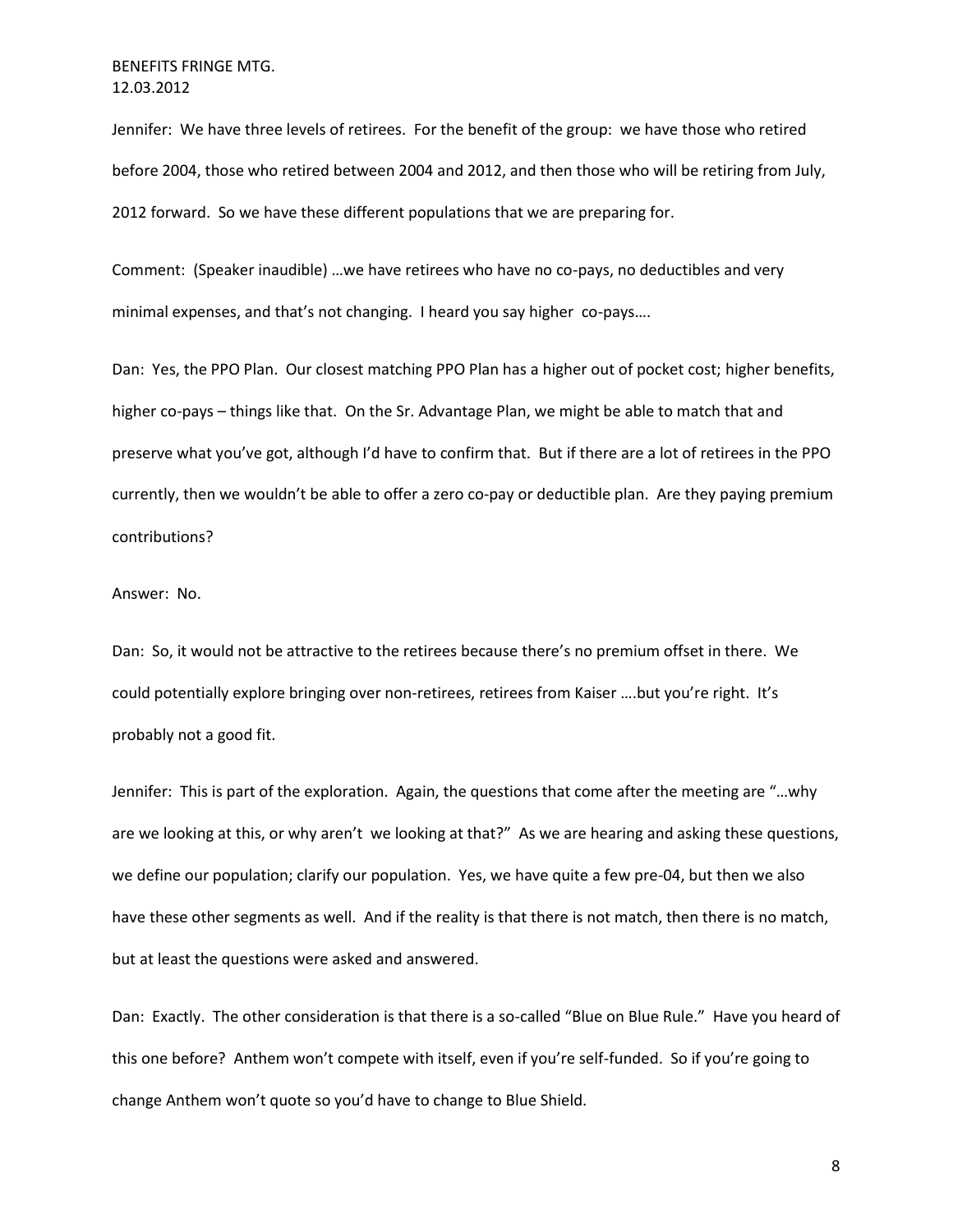Jennifer: We have three levels of retirees. For the benefit of the group: we have those who retired before 2004, those who retired between 2004 and 2012, and then those who will be retiring from July, 2012 forward. So we have these different populations that we are preparing for.

Comment: (Speaker inaudible) …we have retirees who have no co-pays, no deductibles and very minimal expenses, and that's not changing. I heard you say higher co-pays….

Dan: Yes, the PPO Plan. Our closest matching PPO Plan has a higher out of pocket cost; higher benefits, higher co-pays – things like that. On the Sr. Advantage Plan, we might be able to match that and preserve what you've got, although I'd have to confirm that. But if there are a lot of retirees in the PPO currently, then we wouldn't be able to offer a zero co-pay or deductible plan. Are they paying premium contributions?

#### Answer: No.

Dan: So, it would not be attractive to the retirees because there's no premium offset in there. We could potentially explore bringing over non-retirees, retirees from Kaiser ….but you're right. It's probably not a good fit.

Jennifer: This is part of the exploration. Again, the questions that come after the meeting are "…why are we looking at this, or why aren't we looking at that?" As we are hearing and asking these questions, we define our population; clarify our population. Yes, we have quite a few pre-04, but then we also have these other segments as well. And if the reality is that there is not match, then there is no match, but at least the questions were asked and answered.

Dan: Exactly. The other consideration is that there is a so-called "Blue on Blue Rule." Have you heard of this one before? Anthem won't compete with itself, even if you're self-funded. So if you're going to change Anthem won't quote so you'd have to change to Blue Shield.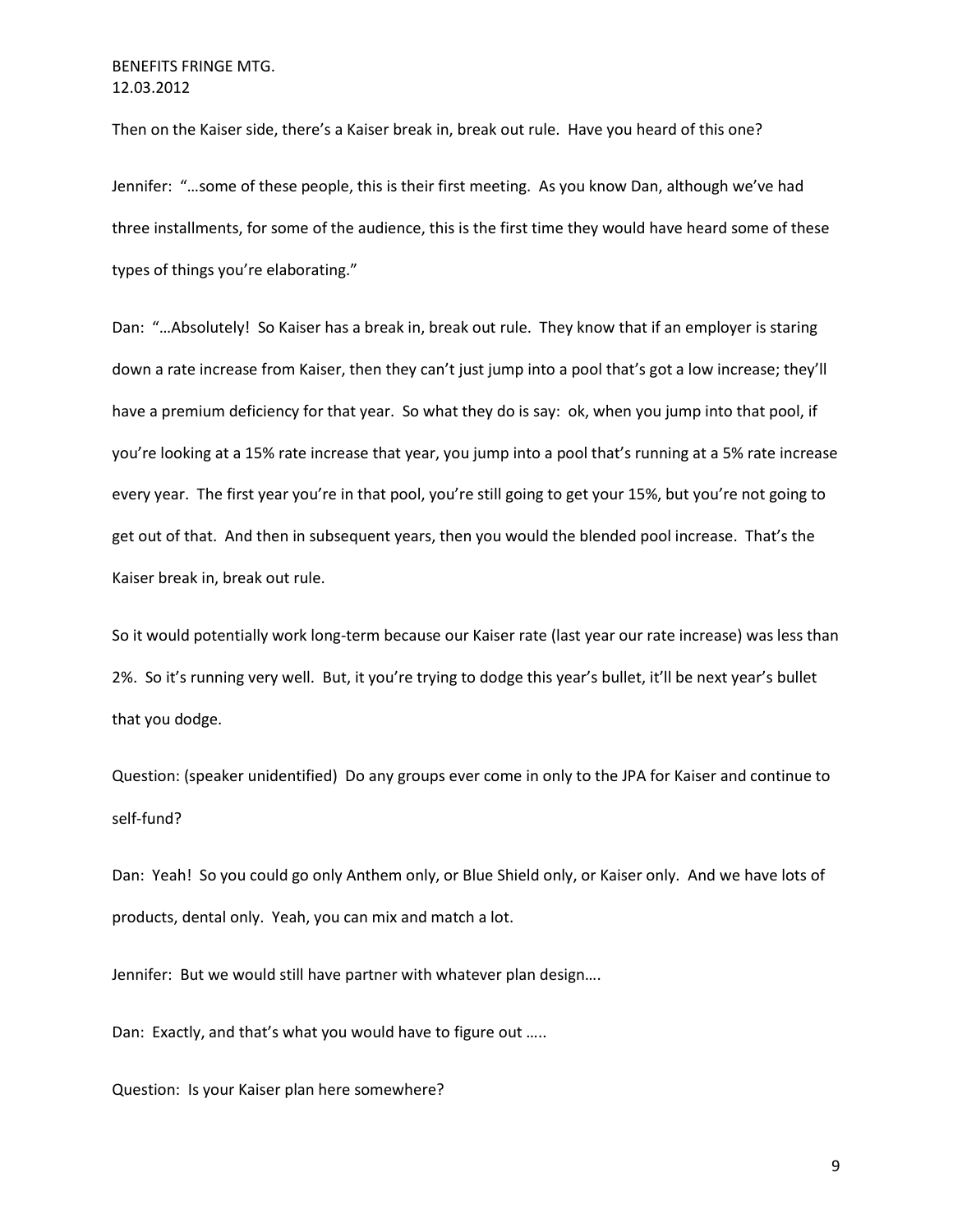Then on the Kaiser side, there's a Kaiser break in, break out rule. Have you heard of this one?

Jennifer: "…some of these people, this is their first meeting. As you know Dan, although we've had three installments, for some of the audience, this is the first time they would have heard some of these types of things you're elaborating."

Dan: "…Absolutely! So Kaiser has a break in, break out rule. They know that if an employer is staring down a rate increase from Kaiser, then they can't just jump into a pool that's got a low increase; they'll have a premium deficiency for that year. So what they do is say: ok, when you jump into that pool, if you're looking at a 15% rate increase that year, you jump into a pool that's running at a 5% rate increase every year. The first year you're in that pool, you're still going to get your 15%, but you're not going to get out of that. And then in subsequent years, then you would the blended pool increase. That's the Kaiser break in, break out rule.

So it would potentially work long-term because our Kaiser rate (last year our rate increase) was less than 2%. So it's running very well. But, it you're trying to dodge this year's bullet, it'll be next year's bullet that you dodge.

Question: (speaker unidentified) Do any groups ever come in only to the JPA for Kaiser and continue to self-fund?

Dan: Yeah! So you could go only Anthem only, or Blue Shield only, or Kaiser only. And we have lots of products, dental only. Yeah, you can mix and match a lot.

Jennifer: But we would still have partner with whatever plan design….

Dan: Exactly, and that's what you would have to figure out …..

Question: Is your Kaiser plan here somewhere?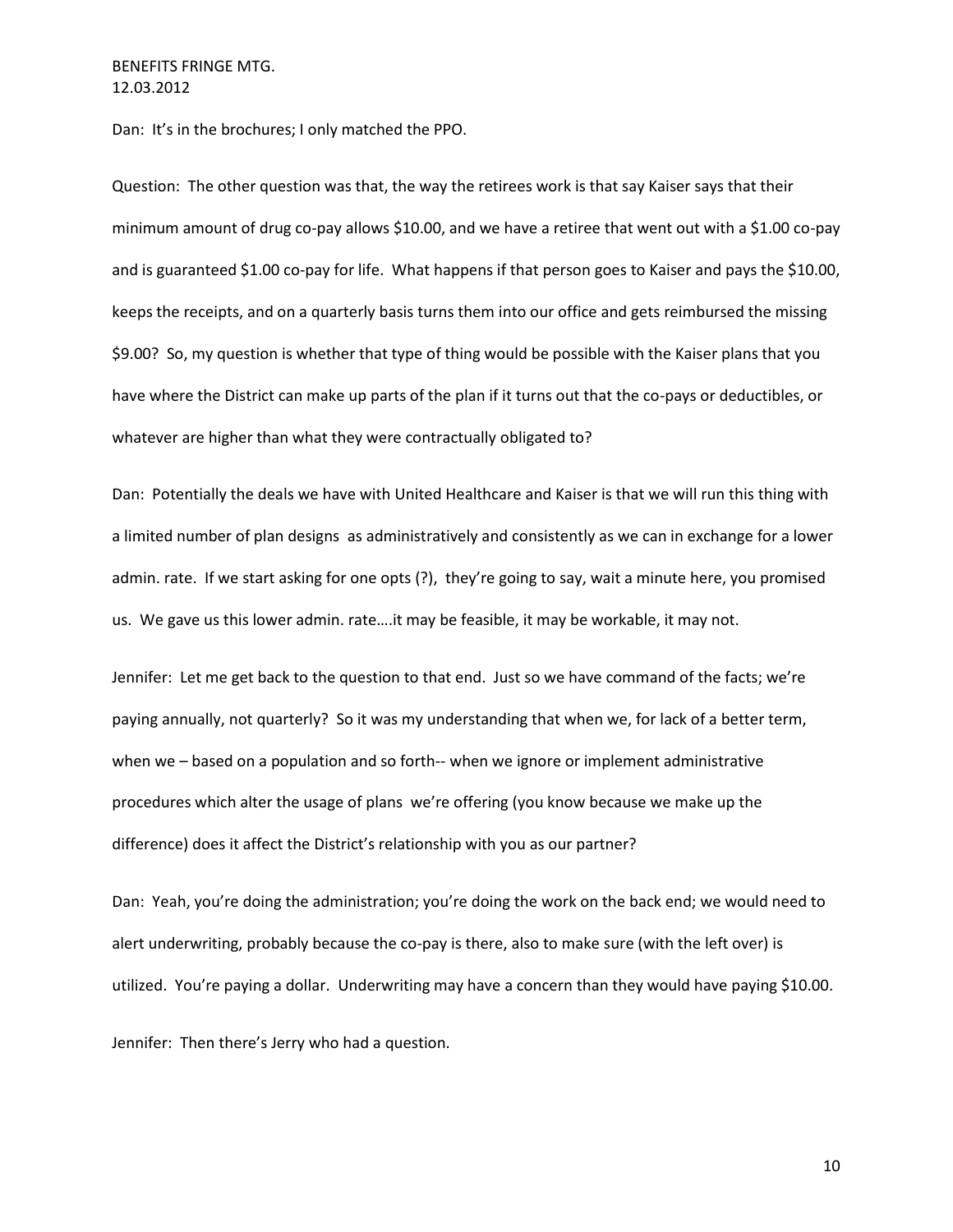Dan: It's in the brochures; I only matched the PPO.

Question: The other question was that, the way the retirees work is that say Kaiser says that their minimum amount of drug co-pay allows \$10.00, and we have a retiree that went out with a \$1.00 co-pay and is guaranteed \$1.00 co-pay for life. What happens if that person goes to Kaiser and pays the \$10.00, keeps the receipts, and on a quarterly basis turns them into our office and gets reimbursed the missing \$9.00? So, my question is whether that type of thing would be possible with the Kaiser plans that you have where the District can make up parts of the plan if it turns out that the co-pays or deductibles, or whatever are higher than what they were contractually obligated to?

Dan: Potentially the deals we have with United Healthcare and Kaiser is that we will run this thing with a limited number of plan designs as administratively and consistently as we can in exchange for a lower admin. rate. If we start asking for one opts (?), they're going to say, wait a minute here, you promised us. We gave us this lower admin. rate….it may be feasible, it may be workable, it may not.

Jennifer: Let me get back to the question to that end. Just so we have command of the facts; we're paying annually, not quarterly? So it was my understanding that when we, for lack of a better term, when we – based on a population and so forth-- when we ignore or implement administrative procedures which alter the usage of plans we're offering (you know because we make up the difference) does it affect the District's relationship with you as our partner?

Dan: Yeah, you're doing the administration; you're doing the work on the back end; we would need to alert underwriting, probably because the co-pay is there, also to make sure (with the left over) is utilized. You're paying a dollar. Underwriting may have a concern than they would have paying \$10.00.

Jennifer: Then there's Jerry who had a question.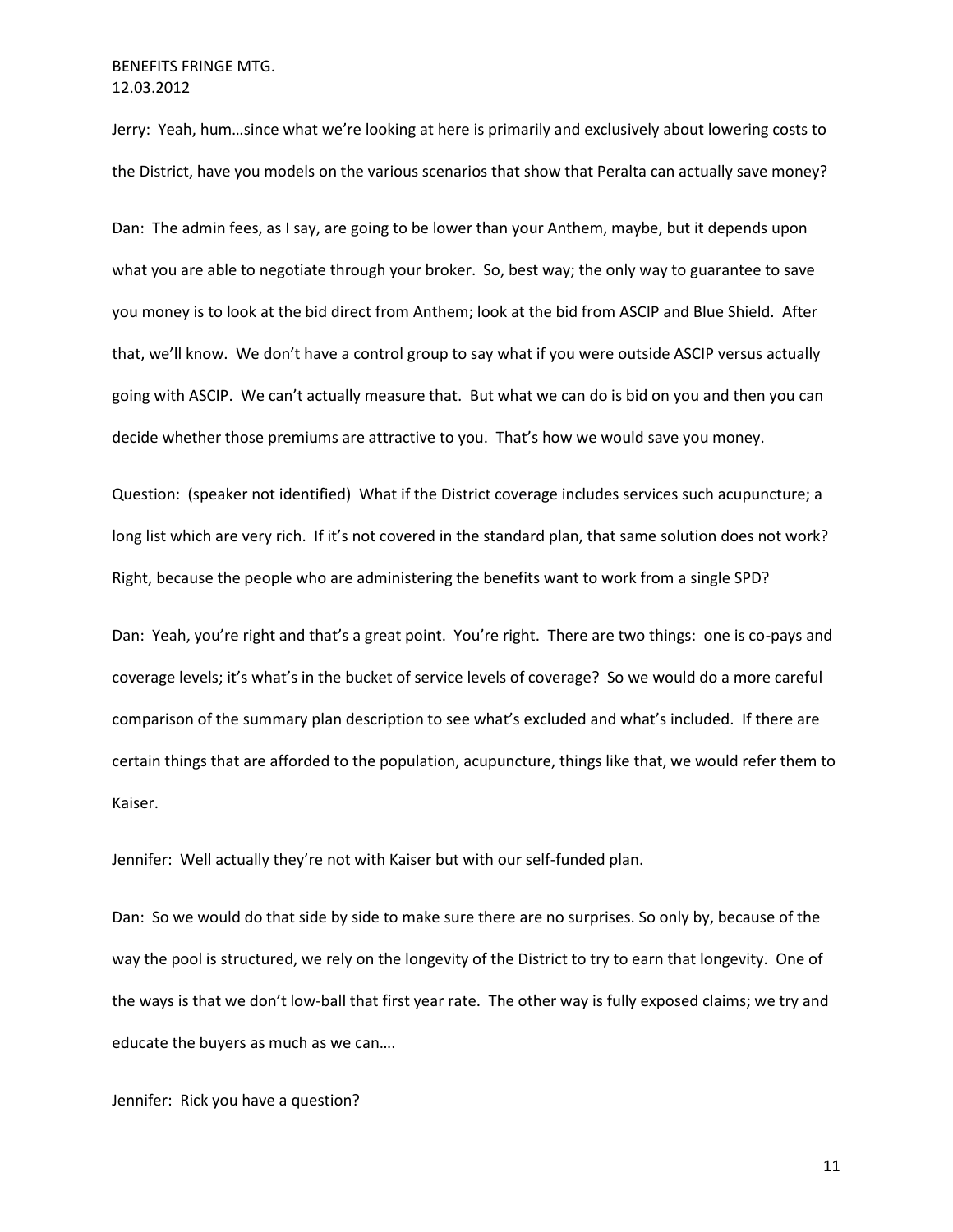Jerry: Yeah, hum…since what we're looking at here is primarily and exclusively about lowering costs to the District, have you models on the various scenarios that show that Peralta can actually save money?

Dan: The admin fees, as I say, are going to be lower than your Anthem, maybe, but it depends upon what you are able to negotiate through your broker. So, best way; the only way to guarantee to save you money is to look at the bid direct from Anthem; look at the bid from ASCIP and Blue Shield. After that, we'll know. We don't have a control group to say what if you were outside ASCIP versus actually going with ASCIP. We can't actually measure that. But what we can do is bid on you and then you can decide whether those premiums are attractive to you. That's how we would save you money.

Question: (speaker not identified) What if the District coverage includes services such acupuncture; a long list which are very rich. If it's not covered in the standard plan, that same solution does not work? Right, because the people who are administering the benefits want to work from a single SPD?

Dan: Yeah, you're right and that's a great point. You're right. There are two things: one is co-pays and coverage levels; it's what's in the bucket of service levels of coverage? So we would do a more careful comparison of the summary plan description to see what's excluded and what's included. If there are certain things that are afforded to the population, acupuncture, things like that, we would refer them to Kaiser.

Jennifer: Well actually they're not with Kaiser but with our self-funded plan.

Dan: So we would do that side by side to make sure there are no surprises. So only by, because of the way the pool is structured, we rely on the longevity of the District to try to earn that longevity. One of the ways is that we don't low-ball that first year rate. The other way is fully exposed claims; we try and educate the buyers as much as we can….

Jennifer: Rick you have a question?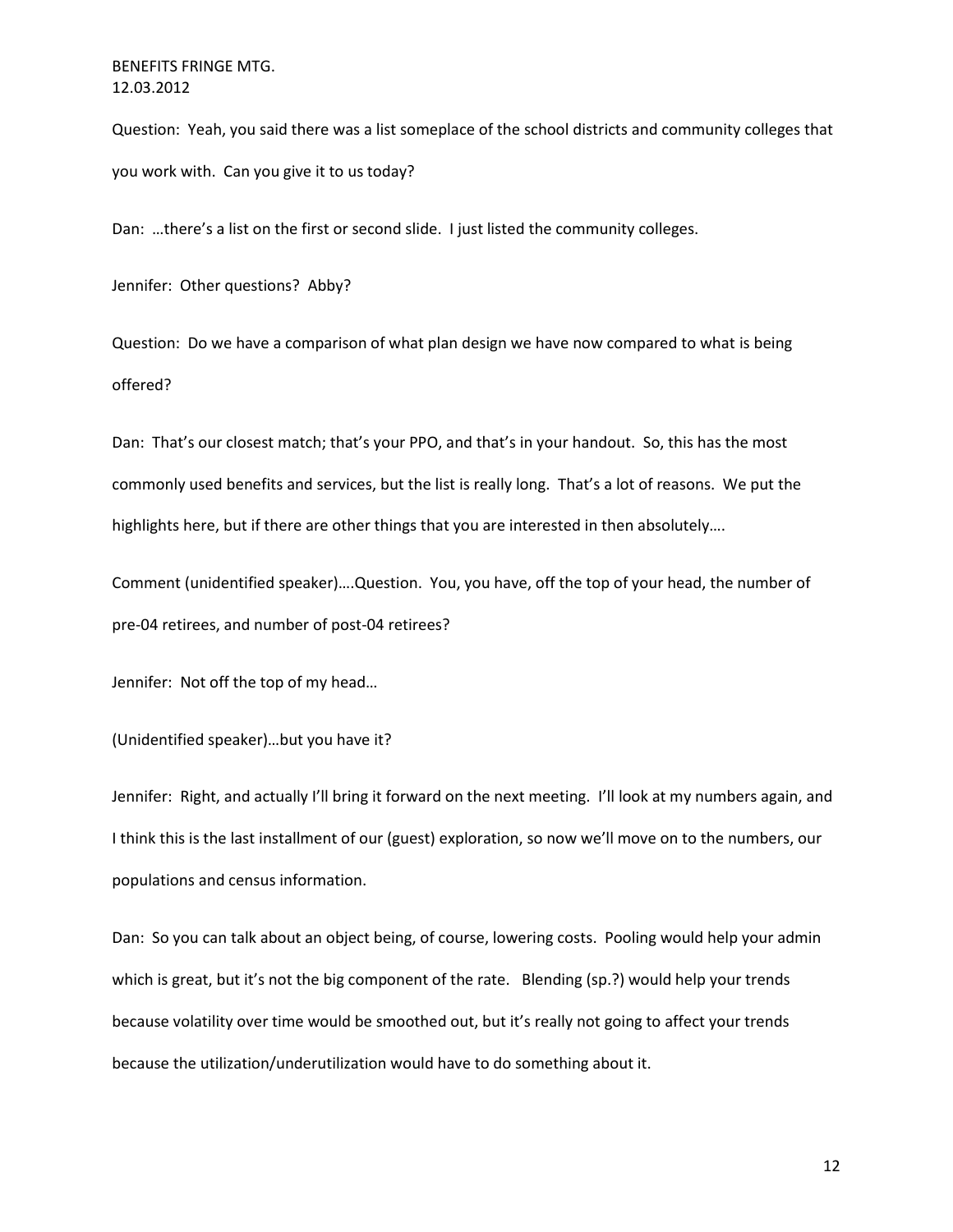Question: Yeah, you said there was a list someplace of the school districts and community colleges that you work with. Can you give it to us today?

Dan: …there's a list on the first or second slide. I just listed the community colleges.

Jennifer: Other questions? Abby?

Question: Do we have a comparison of what plan design we have now compared to what is being offered?

Dan: That's our closest match; that's your PPO, and that's in your handout. So, this has the most commonly used benefits and services, but the list is really long. That's a lot of reasons. We put the highlights here, but if there are other things that you are interested in then absolutely….

Comment (unidentified speaker)….Question. You, you have, off the top of your head, the number of pre-04 retirees, and number of post-04 retirees?

Jennifer: Not off the top of my head…

(Unidentified speaker)…but you have it?

Jennifer: Right, and actually I'll bring it forward on the next meeting. I'll look at my numbers again, and I think this is the last installment of our (guest) exploration, so now we'll move on to the numbers, our populations and census information.

Dan: So you can talk about an object being, of course, lowering costs. Pooling would help your admin which is great, but it's not the big component of the rate. Blending (sp.?) would help your trends because volatility over time would be smoothed out, but it's really not going to affect your trends because the utilization/underutilization would have to do something about it.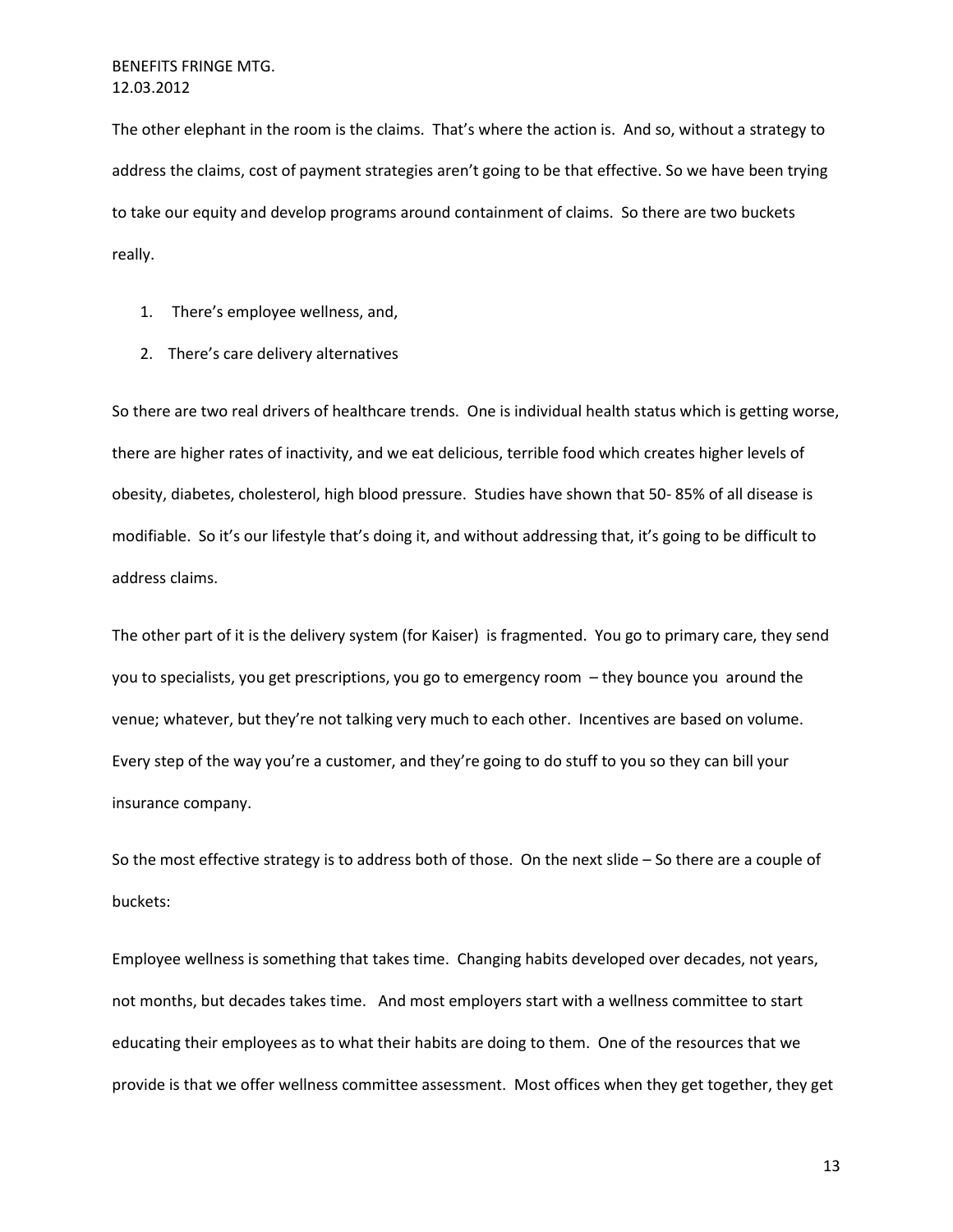The other elephant in the room is the claims. That's where the action is. And so, without a strategy to address the claims, cost of payment strategies aren't going to be that effective. So we have been trying to take our equity and develop programs around containment of claims. So there are two buckets really.

- 1. There's employee wellness, and,
- 2. There's care delivery alternatives

So there are two real drivers of healthcare trends. One is individual health status which is getting worse, there are higher rates of inactivity, and we eat delicious, terrible food which creates higher levels of obesity, diabetes, cholesterol, high blood pressure. Studies have shown that 50- 85% of all disease is modifiable. So it's our lifestyle that's doing it, and without addressing that, it's going to be difficult to address claims.

The other part of it is the delivery system (for Kaiser) is fragmented. You go to primary care, they send you to specialists, you get prescriptions, you go to emergency room – they bounce you around the venue; whatever, but they're not talking very much to each other. Incentives are based on volume. Every step of the way you're a customer, and they're going to do stuff to you so they can bill your insurance company.

So the most effective strategy is to address both of those. On the next slide – So there are a couple of buckets:

Employee wellness is something that takes time. Changing habits developed over decades, not years, not months, but decades takes time. And most employers start with a wellness committee to start educating their employees as to what their habits are doing to them. One of the resources that we provide is that we offer wellness committee assessment. Most offices when they get together, they get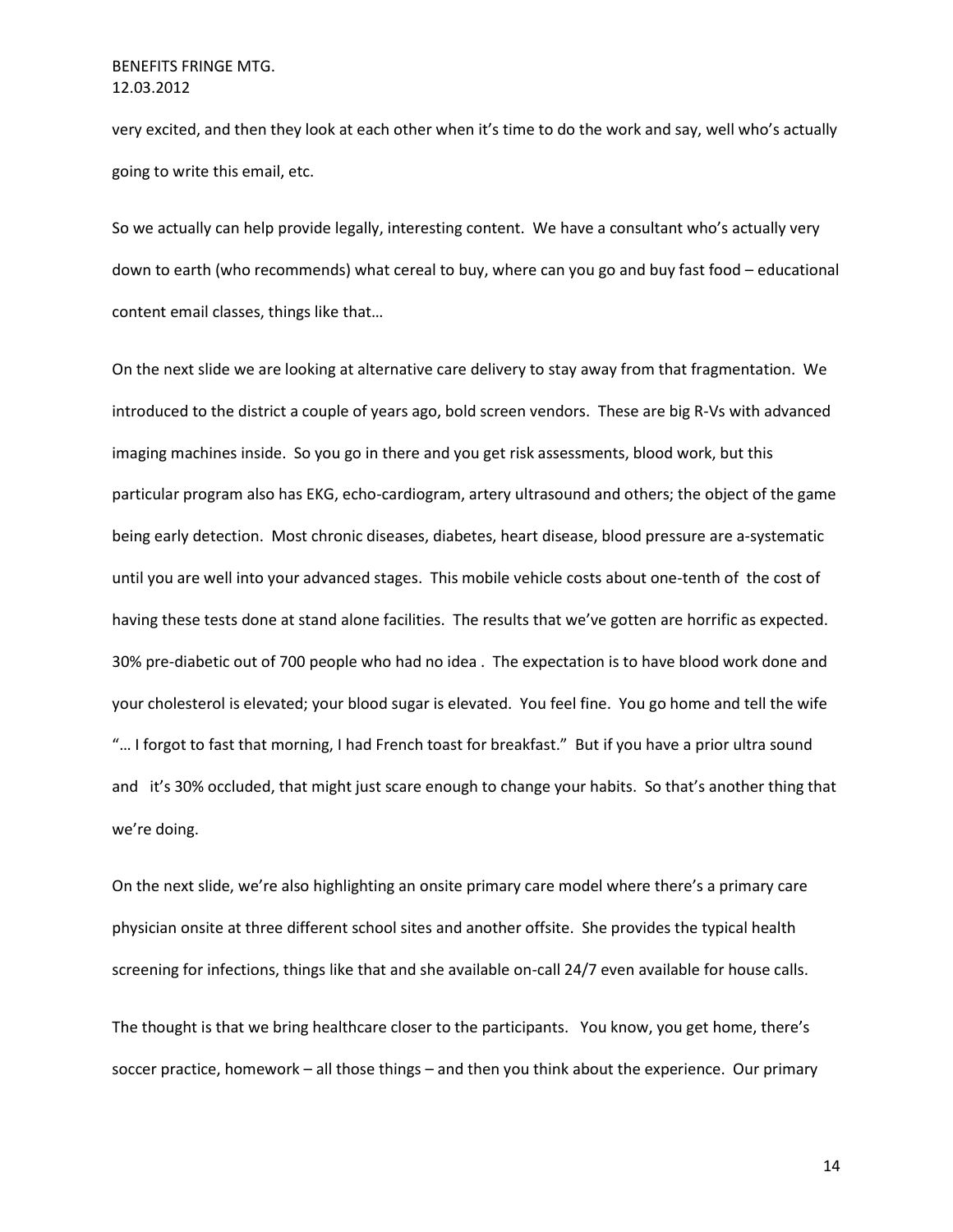very excited, and then they look at each other when it's time to do the work and say, well who's actually going to write this email, etc.

So we actually can help provide legally, interesting content. We have a consultant who's actually very down to earth (who recommends) what cereal to buy, where can you go and buy fast food – educational content email classes, things like that…

On the next slide we are looking at alternative care delivery to stay away from that fragmentation. We introduced to the district a couple of years ago, bold screen vendors. These are big R-Vs with advanced imaging machines inside. So you go in there and you get risk assessments, blood work, but this particular program also has EKG, echo-cardiogram, artery ultrasound and others; the object of the game being early detection. Most chronic diseases, diabetes, heart disease, blood pressure are a-systematic until you are well into your advanced stages. This mobile vehicle costs about one-tenth of the cost of having these tests done at stand alone facilities. The results that we've gotten are horrific as expected. 30% pre-diabetic out of 700 people who had no idea . The expectation is to have blood work done and your cholesterol is elevated; your blood sugar is elevated. You feel fine. You go home and tell the wife "… I forgot to fast that morning, I had French toast for breakfast." But if you have a prior ultra sound and it's 30% occluded, that might just scare enough to change your habits. So that's another thing that we're doing.

On the next slide, we're also highlighting an onsite primary care model where there's a primary care physician onsite at three different school sites and another offsite. She provides the typical health screening for infections, things like that and she available on-call 24/7 even available for house calls.

The thought is that we bring healthcare closer to the participants. You know, you get home, there's soccer practice, homework – all those things – and then you think about the experience. Our primary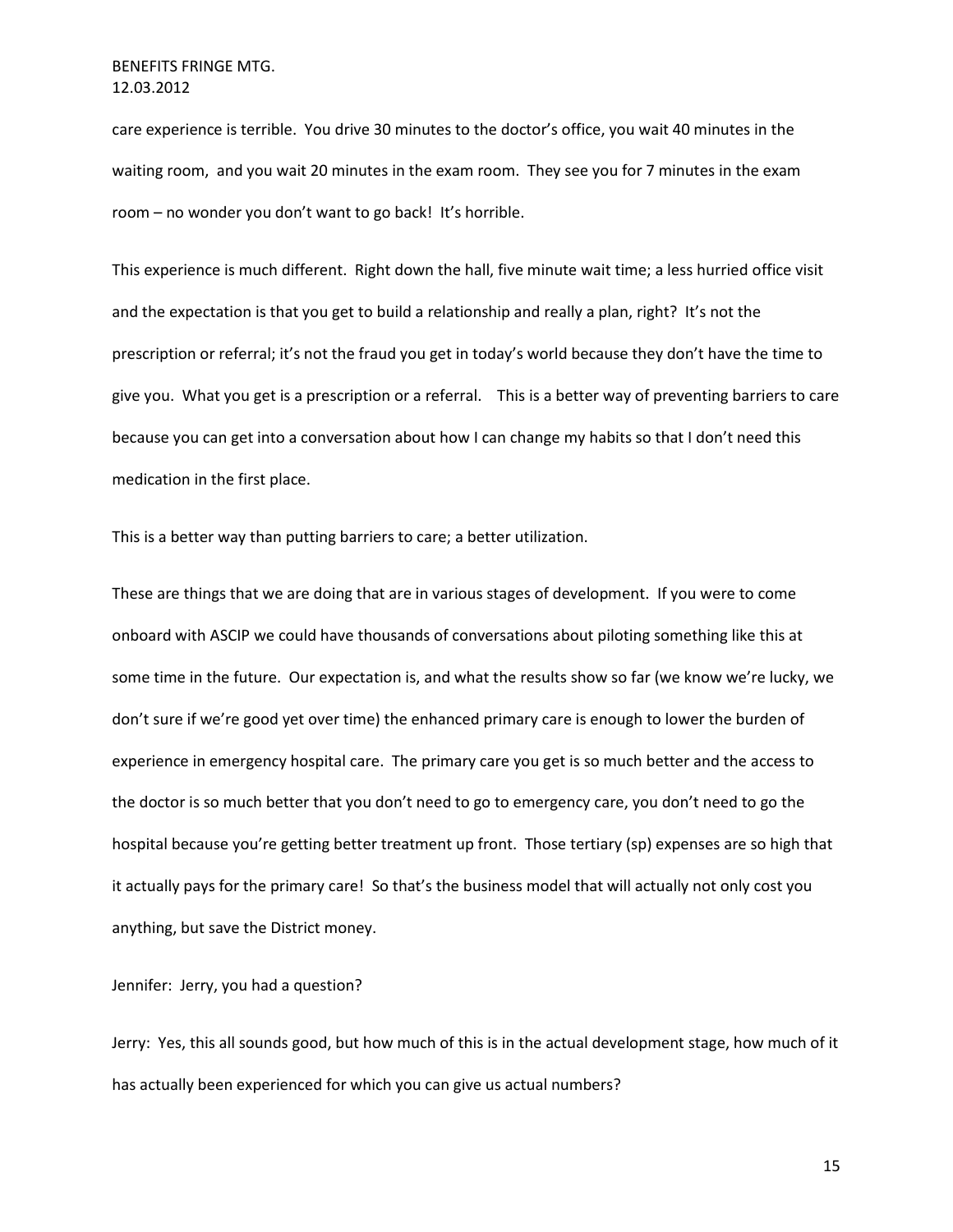care experience is terrible. You drive 30 minutes to the doctor's office, you wait 40 minutes in the waiting room, and you wait 20 minutes in the exam room. They see you for 7 minutes in the exam room – no wonder you don't want to go back! It's horrible.

This experience is much different. Right down the hall, five minute wait time; a less hurried office visit and the expectation is that you get to build a relationship and really a plan, right? It's not the prescription or referral; it's not the fraud you get in today's world because they don't have the time to give you. What you get is a prescription or a referral. This is a better way of preventing barriers to care because you can get into a conversation about how I can change my habits so that I don't need this medication in the first place.

This is a better way than putting barriers to care; a better utilization.

These are things that we are doing that are in various stages of development. If you were to come onboard with ASCIP we could have thousands of conversations about piloting something like this at some time in the future. Our expectation is, and what the results show so far (we know we're lucky, we don't sure if we're good yet over time) the enhanced primary care is enough to lower the burden of experience in emergency hospital care. The primary care you get is so much better and the access to the doctor is so much better that you don't need to go to emergency care, you don't need to go the hospital because you're getting better treatment up front. Those tertiary (sp) expenses are so high that it actually pays for the primary care! So that's the business model that will actually not only cost you anything, but save the District money.

Jennifer: Jerry, you had a question?

Jerry: Yes, this all sounds good, but how much of this is in the actual development stage, how much of it has actually been experienced for which you can give us actual numbers?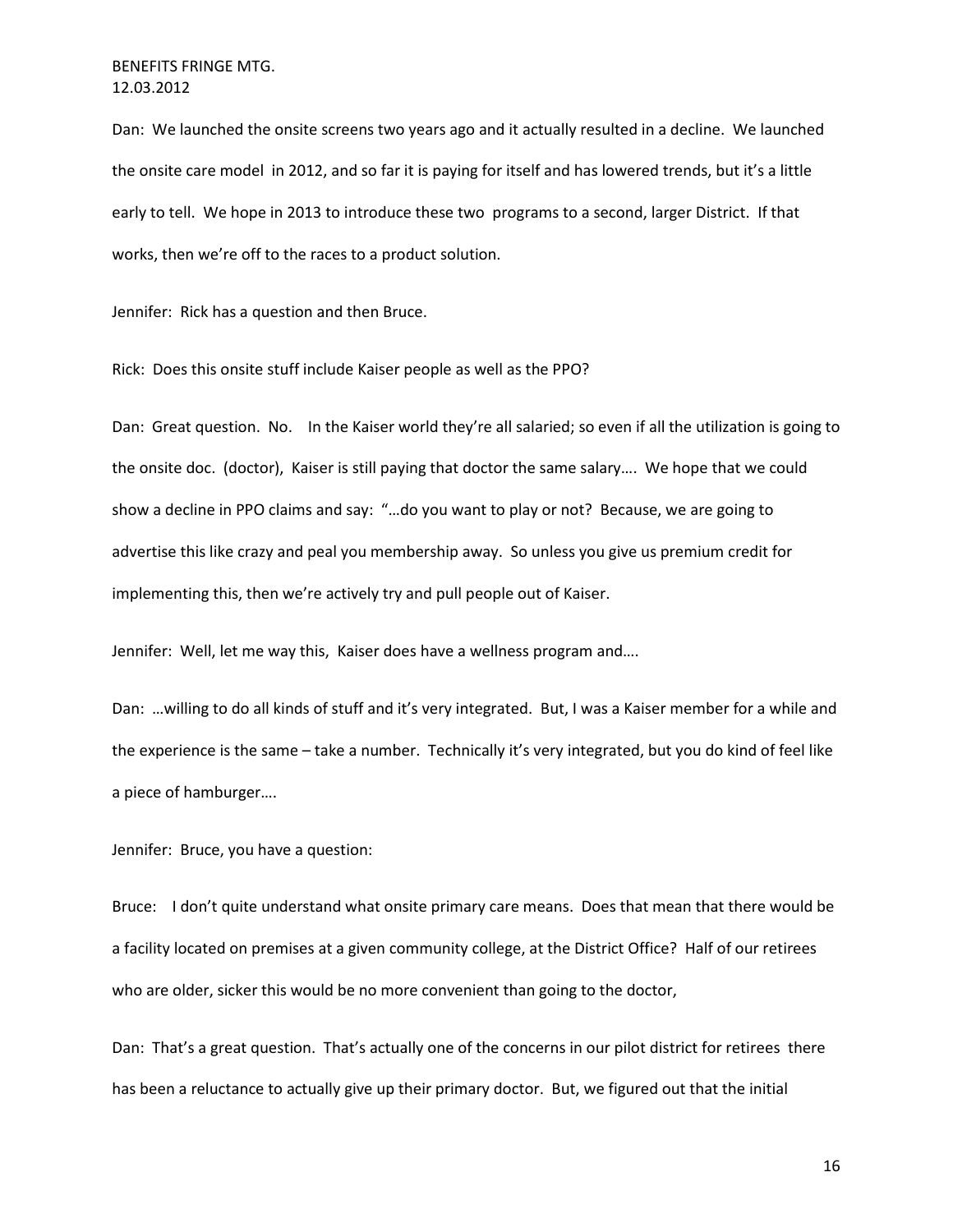Dan: We launched the onsite screens two years ago and it actually resulted in a decline. We launched the onsite care model in 2012, and so far it is paying for itself and has lowered trends, but it's a little early to tell. We hope in 2013 to introduce these two programs to a second, larger District. If that works, then we're off to the races to a product solution.

Jennifer: Rick has a question and then Bruce.

Rick: Does this onsite stuff include Kaiser people as well as the PPO?

Dan: Great question. No. In the Kaiser world they're all salaried; so even if all the utilization is going to the onsite doc. (doctor), Kaiser is still paying that doctor the same salary…. We hope that we could show a decline in PPO claims and say: "…do you want to play or not? Because, we are going to advertise this like crazy and peal you membership away. So unless you give us premium credit for implementing this, then we're actively try and pull people out of Kaiser.

Jennifer: Well, let me way this, Kaiser does have a wellness program and….

Dan: …willing to do all kinds of stuff and it's very integrated. But, I was a Kaiser member for a while and the experience is the same – take a number. Technically it's very integrated, but you do kind of feel like a piece of hamburger….

Jennifer: Bruce, you have a question:

Bruce: I don't quite understand what onsite primary care means. Does that mean that there would be a facility located on premises at a given community college, at the District Office? Half of our retirees who are older, sicker this would be no more convenient than going to the doctor,

Dan: That's a great question. That's actually one of the concerns in our pilot district for retirees there has been a reluctance to actually give up their primary doctor. But, we figured out that the initial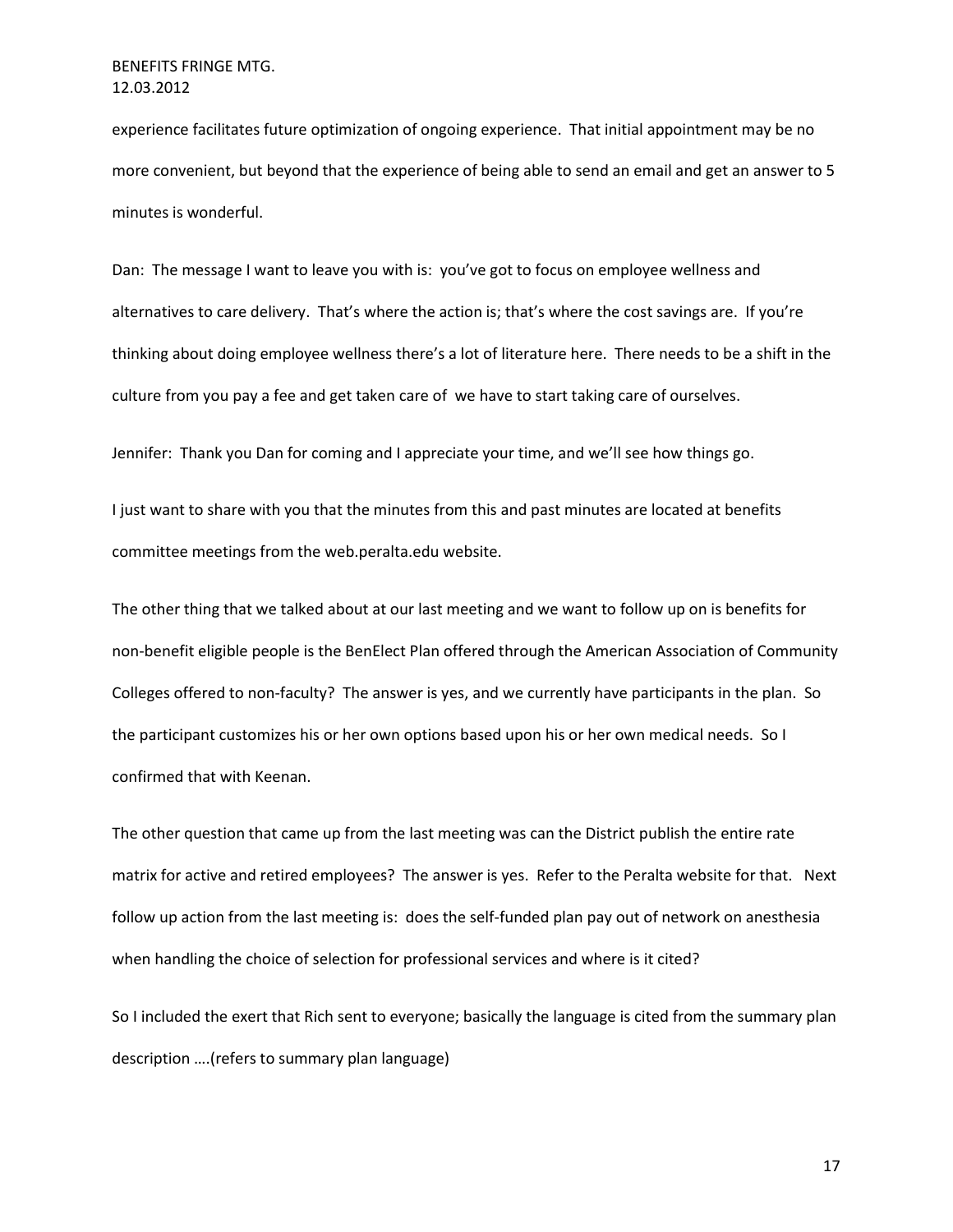experience facilitates future optimization of ongoing experience. That initial appointment may be no more convenient, but beyond that the experience of being able to send an email and get an answer to 5 minutes is wonderful.

Dan: The message I want to leave you with is: you've got to focus on employee wellness and alternatives to care delivery. That's where the action is; that's where the cost savings are. If you're thinking about doing employee wellness there's a lot of literature here. There needs to be a shift in the culture from you pay a fee and get taken care of we have to start taking care of ourselves.

Jennifer: Thank you Dan for coming and I appreciate your time, and we'll see how things go.

I just want to share with you that the minutes from this and past minutes are located at benefits committee meetings from the web.peralta.edu website.

The other thing that we talked about at our last meeting and we want to follow up on is benefits for non-benefit eligible people is the BenElect Plan offered through the American Association of Community Colleges offered to non-faculty? The answer is yes, and we currently have participants in the plan. So the participant customizes his or her own options based upon his or her own medical needs. So I confirmed that with Keenan.

The other question that came up from the last meeting was can the District publish the entire rate matrix for active and retired employees? The answer is yes. Refer to the Peralta website for that. Next follow up action from the last meeting is: does the self-funded plan pay out of network on anesthesia when handling the choice of selection for professional services and where is it cited?

So I included the exert that Rich sent to everyone; basically the language is cited from the summary plan description ….(refers to summary plan language)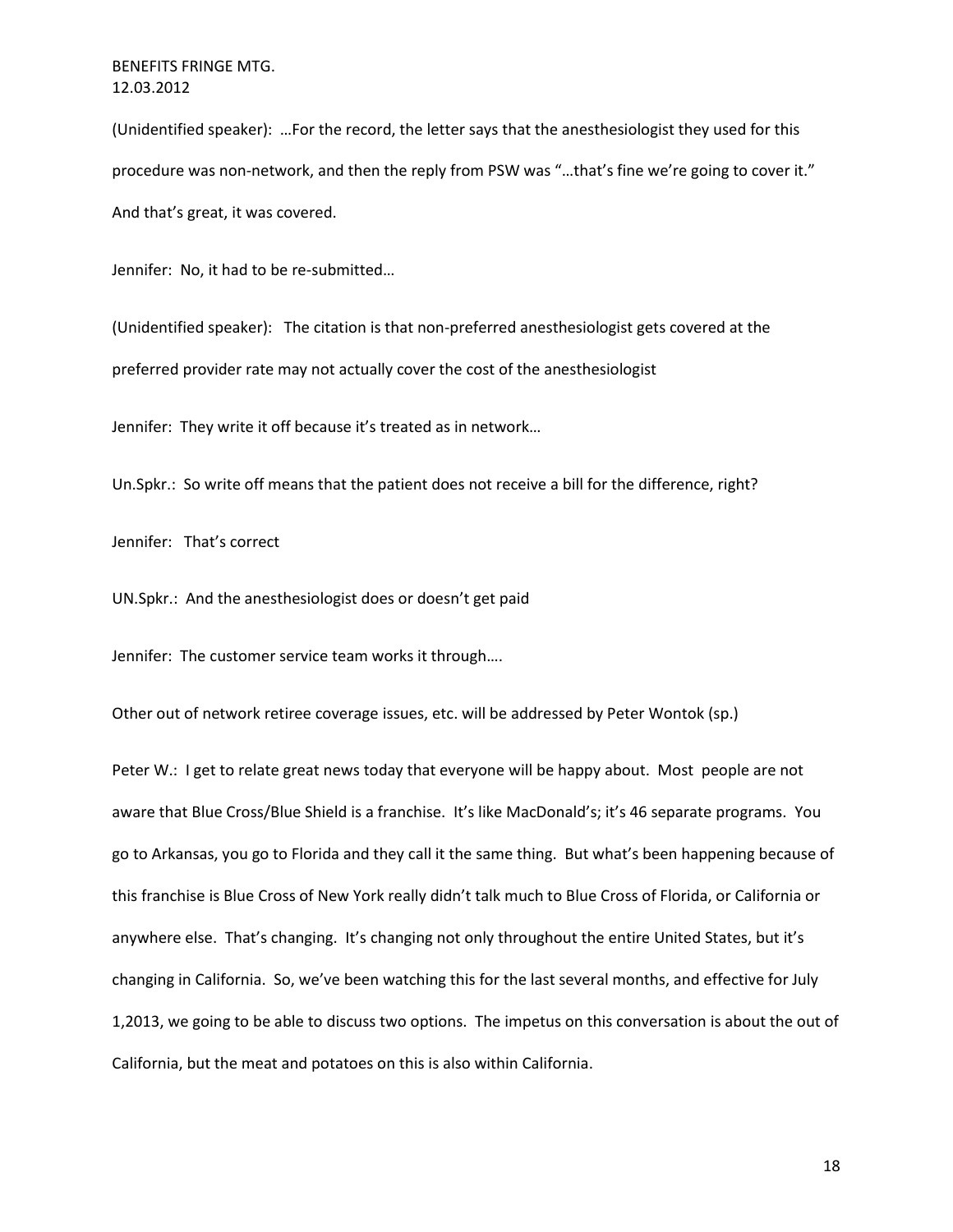(Unidentified speaker): …For the record, the letter says that the anesthesiologist they used for this procedure was non-network, and then the reply from PSW was "...that's fine we're going to cover it." And that's great, it was covered.

Jennifer: No, it had to be re-submitted…

(Unidentified speaker): The citation is that non-preferred anesthesiologist gets covered at the preferred provider rate may not actually cover the cost of the anesthesiologist

Jennifer: They write it off because it's treated as in network…

Un.Spkr.: So write off means that the patient does not receive a bill for the difference, right?

Jennifer: That's correct

UN.Spkr.: And the anesthesiologist does or doesn't get paid

Jennifer: The customer service team works it through….

Other out of network retiree coverage issues, etc. will be addressed by Peter Wontok (sp.)

Peter W.: I get to relate great news today that everyone will be happy about. Most people are not aware that Blue Cross/Blue Shield is a franchise. It's like MacDonald's; it's 46 separate programs. You go to Arkansas, you go to Florida and they call it the same thing. But what's been happening because of this franchise is Blue Cross of New York really didn't talk much to Blue Cross of Florida, or California or anywhere else. That's changing. It's changing not only throughout the entire United States, but it's changing in California. So, we've been watching this for the last several months, and effective for July 1,2013, we going to be able to discuss two options. The impetus on this conversation is about the out of California, but the meat and potatoes on this is also within California.